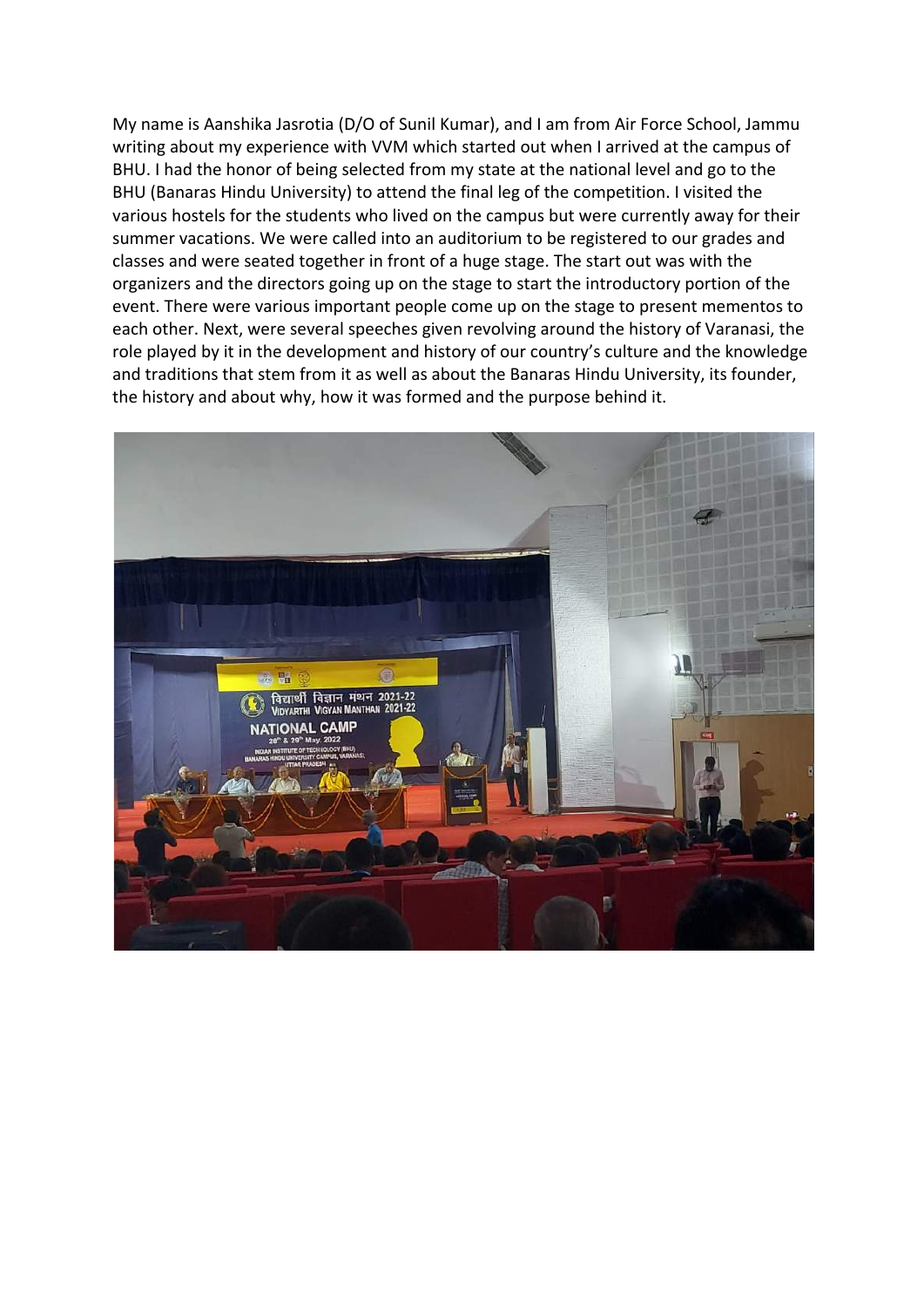My name is Aanshika Jasrotia (D/O of Sunil Kumar), and I am from Air Force School, Jammu writing about my experience with VVM which started out when I arrived at the campus of BHU. I had the honor of being selected from my state at the national level and go to the BHU (Banaras Hindu University) to attend the final leg of the competition. I visited the various hostels for the students who lived on the campus but were currently away for their summer vacations. We were called into an auditorium to be registered to our grades and classes and were seated together in front of a huge stage. The start out was with the organizers and the directors going up on the stage to start the introductory portion of the event. There were various important people come up on the stage to present mementos to each other. Next, were several speeches given revolving around the history of Varanasi, the role played by it in the development and history of our country's culture and the knowledge and traditions that stem from it as well as about the Banaras Hindu University, its founder, the history and about why, how it was formed and the purpose behind it.

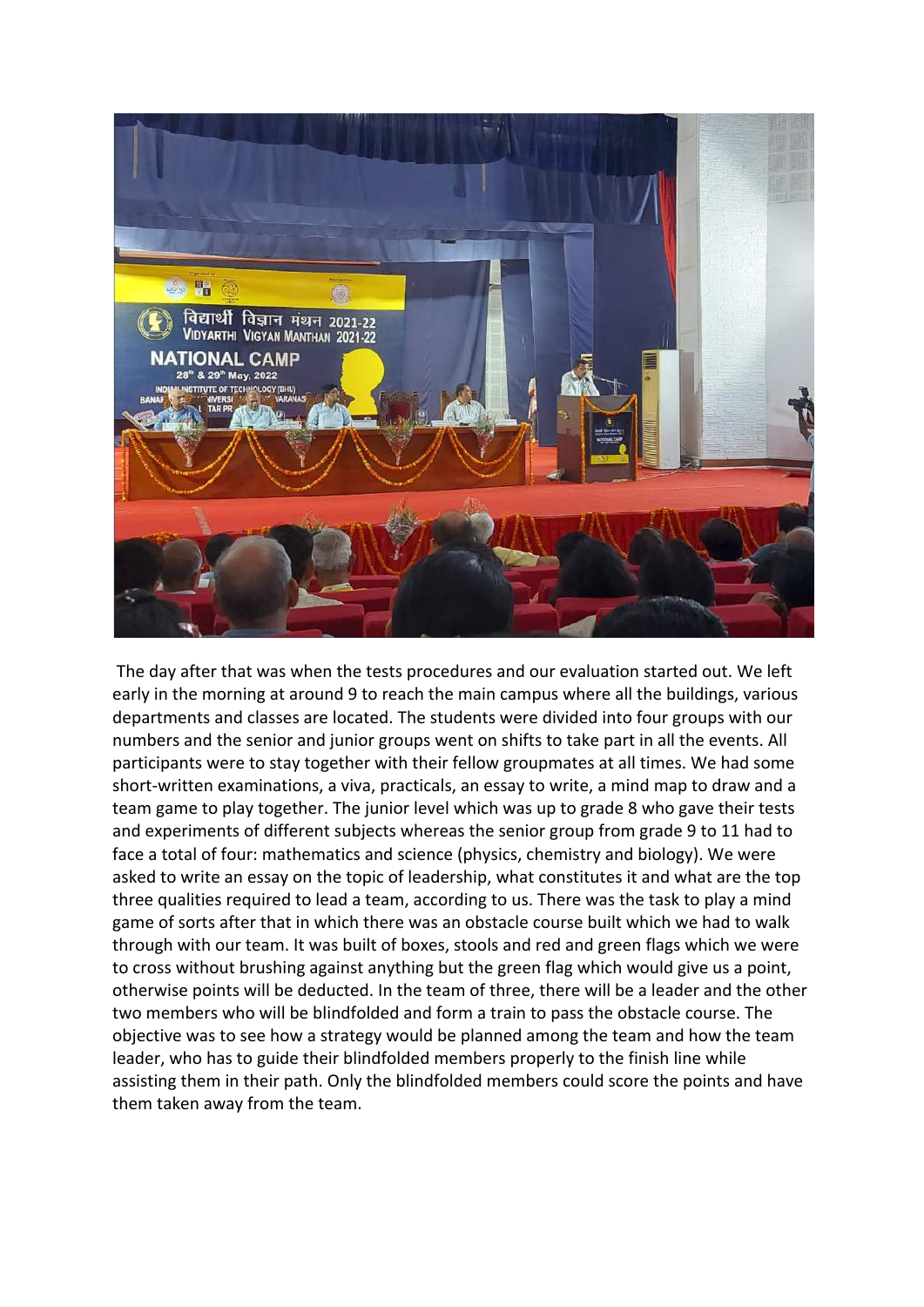

The day after that was when the tests procedures and our evaluation started out. We left early in the morning at around 9 to reach the main campus where all the buildings, various departments and classes are located. The students were divided into four groups with our numbers and the senior and junior groups went on shifts to take part in all the events. All participants were to stay together with their fellow groupmates at all times. We had some short-written examinations, a viva, practicals, an essay to write, a mind map to draw and a team game to play together. The junior level which was up to grade 8 who gave their tests and experiments of different subjects whereas the senior group from grade 9 to 11 had to face a total of four: mathematics and science (physics, chemistry and biology). We were asked to write an essay on the topic of leadership, what constitutes it and what are the top three qualities required to lead a team, according to us. There was the task to play a mind game of sorts after that in which there was an obstacle course built which we had to walk through with our team. It was built of boxes, stools and red and green flags which we were to cross without brushing against anything but the green flag which would give us a point, otherwise points will be deducted. In the team of three, there will be a leader and the other two members who will be blindfolded and form a train to pass the obstacle course. The objective was to see how a strategy would be planned among the team and how the team leader, who has to guide their blindfolded members properly to the finish line while assisting them in their path. Only the blindfolded members could score the points and have them taken away from the team.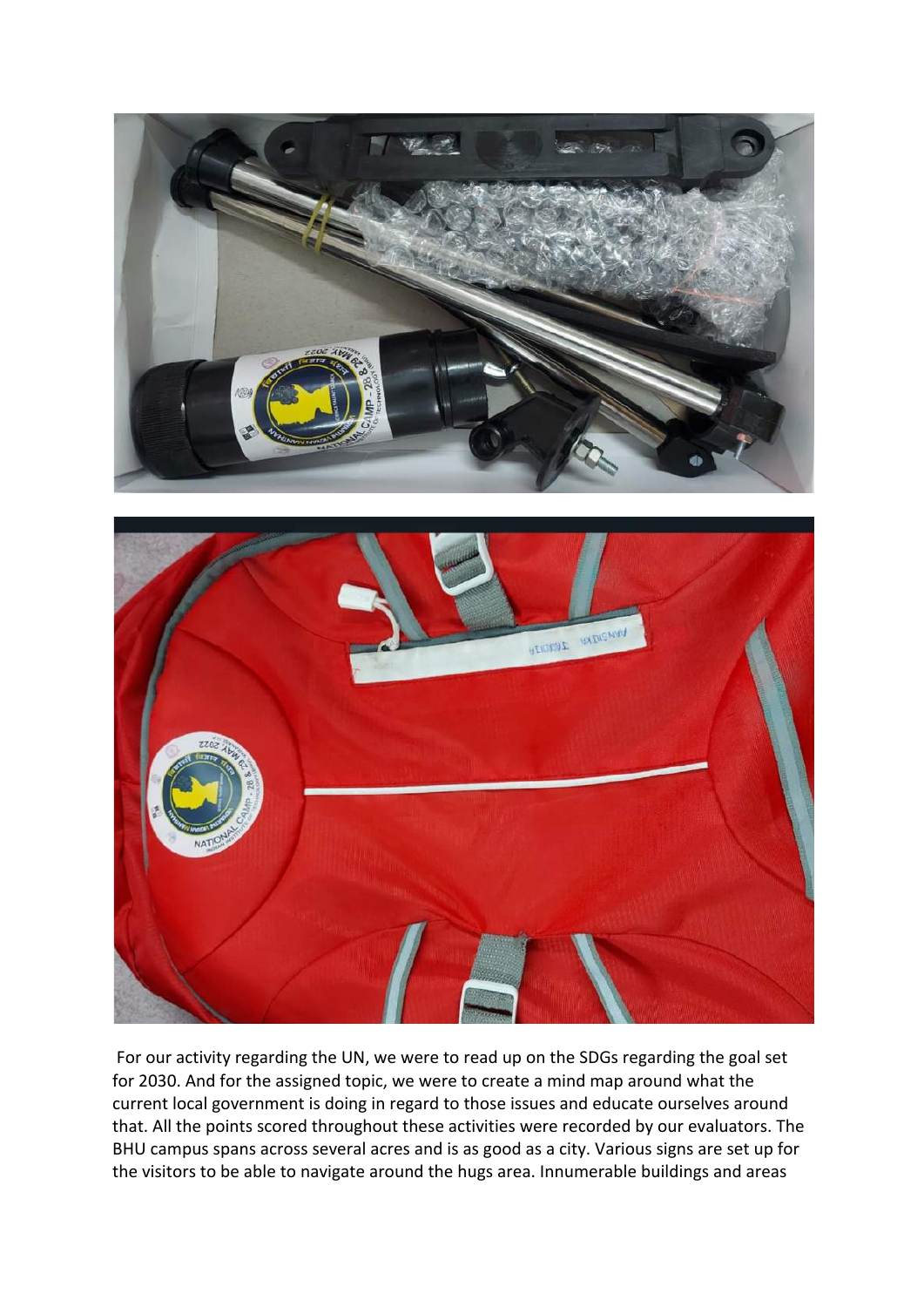



For our activity regarding the UN, we were to read up on the SDGs regarding the goal set for 2030. And for the assigned topic, we were to create a mind map around what the current local government is doing in regard to those issues and educate ourselves around that. All the points scored throughout these activities were recorded by our evaluators. The BHU campus spans across several acres and is as good as a city. Various signs are set up for the visitors to be able to navigate around the hugs area. Innumerable buildings and areas